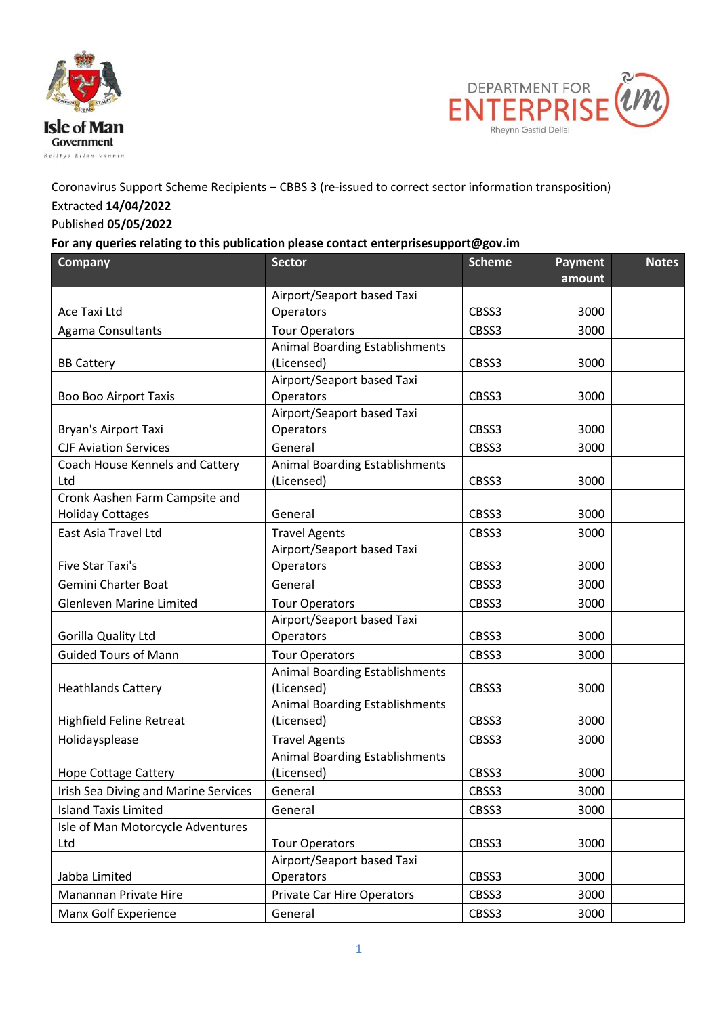



## Coronavirus Support Scheme Recipients – CBBS 3 (re-issued to correct sector information transposition) Extracted **14/04/2022**

## Published **05/05/2022**

## **For any queries relating to this publication please contact enterprisesupport@gov.im**

| <b>Company</b>                       | <b>Sector</b>                         | <b>Scheme</b> | Payment | <b>Notes</b> |
|--------------------------------------|---------------------------------------|---------------|---------|--------------|
|                                      |                                       |               | amount  |              |
|                                      | Airport/Seaport based Taxi            |               |         |              |
| Ace Taxi Ltd                         | Operators                             | CBSS3         | 3000    |              |
| Agama Consultants                    | <b>Tour Operators</b>                 | CBSS3         | 3000    |              |
|                                      | <b>Animal Boarding Establishments</b> |               |         |              |
| <b>BB Cattery</b>                    | (Licensed)                            | CBSS3         | 3000    |              |
|                                      | Airport/Seaport based Taxi            |               |         |              |
| <b>Boo Boo Airport Taxis</b>         | Operators                             | CBSS3         | 3000    |              |
|                                      | Airport/Seaport based Taxi            |               |         |              |
| Bryan's Airport Taxi                 | Operators                             | CBSS3         | 3000    |              |
| <b>CJF Aviation Services</b>         | General                               | CBSS3         | 3000    |              |
| Coach House Kennels and Cattery      | <b>Animal Boarding Establishments</b> |               |         |              |
| Ltd                                  | (Licensed)                            | CBSS3         | 3000    |              |
| Cronk Aashen Farm Campsite and       |                                       |               |         |              |
| <b>Holiday Cottages</b>              | General                               | CBSS3         | 3000    |              |
| East Asia Travel Ltd                 | <b>Travel Agents</b>                  | CBSS3         | 3000    |              |
|                                      | Airport/Seaport based Taxi            |               |         |              |
| Five Star Taxi's                     | Operators                             | CBSS3         | 3000    |              |
| Gemini Charter Boat                  | General                               | CBSS3         | 3000    |              |
| <b>Glenleven Marine Limited</b>      | <b>Tour Operators</b>                 | CBSS3         | 3000    |              |
|                                      | Airport/Seaport based Taxi            |               |         |              |
| Gorilla Quality Ltd                  | Operators                             | CBSS3         | 3000    |              |
| <b>Guided Tours of Mann</b>          | <b>Tour Operators</b>                 | CBSS3         | 3000    |              |
|                                      | <b>Animal Boarding Establishments</b> |               |         |              |
| <b>Heathlands Cattery</b>            | (Licensed)                            | CBSS3         | 3000    |              |
|                                      | <b>Animal Boarding Establishments</b> |               |         |              |
| Highfield Feline Retreat             | (Licensed)                            | CBSS3         | 3000    |              |
| Holidaysplease                       | <b>Travel Agents</b>                  | CBSS3         | 3000    |              |
|                                      | <b>Animal Boarding Establishments</b> |               |         |              |
| <b>Hope Cottage Cattery</b>          | (Licensed)                            | CBSS3         | 3000    |              |
| Irish Sea Diving and Marine Services | General                               | CBSS3         | 3000    |              |
| <b>Island Taxis Limited</b>          | General                               | CBSS3         | 3000    |              |
| Isle of Man Motorcycle Adventures    |                                       |               |         |              |
| Ltd                                  | <b>Tour Operators</b>                 | CBSS3         | 3000    |              |
|                                      | Airport/Seaport based Taxi            |               |         |              |
| Jabba Limited                        | Operators                             | CBSS3         | 3000    |              |
| Manannan Private Hire                | <b>Private Car Hire Operators</b>     | CBSS3         | 3000    |              |
| Manx Golf Experience                 | General                               | CBSS3         | 3000    |              |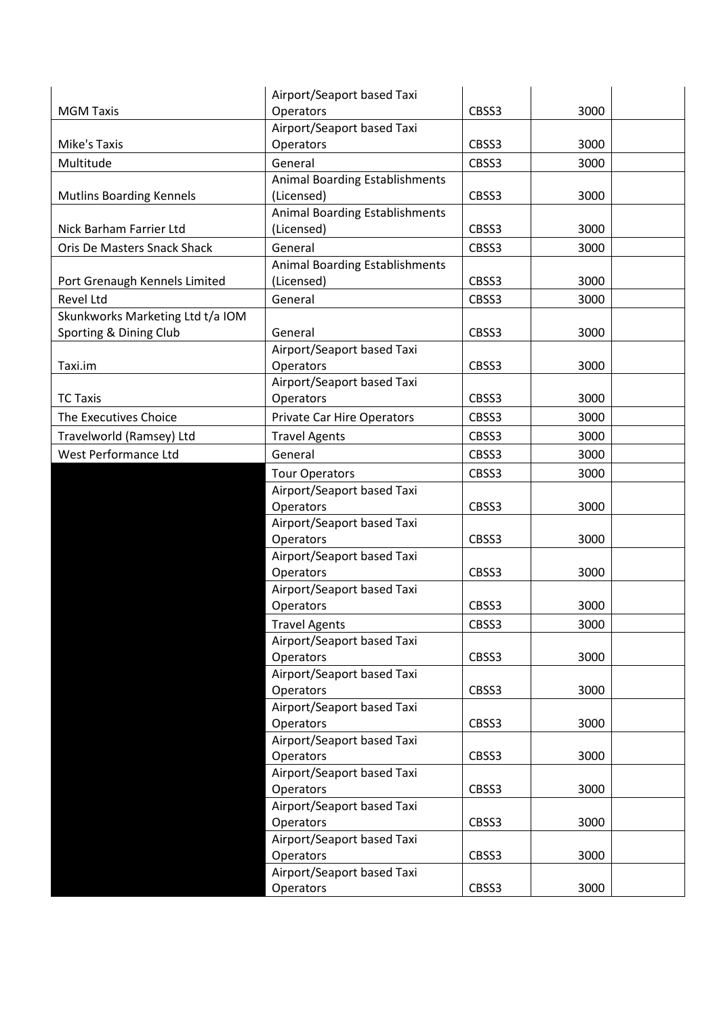|                                  | Airport/Seaport based Taxi            |       |      |
|----------------------------------|---------------------------------------|-------|------|
| <b>MGM Taxis</b>                 | Operators                             | CBSS3 | 3000 |
|                                  | Airport/Seaport based Taxi            |       |      |
| Mike's Taxis                     | Operators                             | CBSS3 | 3000 |
| Multitude                        | General                               | CBSS3 | 3000 |
|                                  | <b>Animal Boarding Establishments</b> |       |      |
| <b>Mutlins Boarding Kennels</b>  | (Licensed)                            | CBSS3 | 3000 |
|                                  | <b>Animal Boarding Establishments</b> |       |      |
| Nick Barham Farrier Ltd          | (Licensed)                            | CBSS3 | 3000 |
| Oris De Masters Snack Shack      | General                               | CBSS3 | 3000 |
|                                  | <b>Animal Boarding Establishments</b> |       |      |
| Port Grenaugh Kennels Limited    | (Licensed)                            | CBSS3 | 3000 |
| <b>Revel Ltd</b>                 | General                               | CBSS3 | 3000 |
| Skunkworks Marketing Ltd t/a IOM |                                       |       |      |
| Sporting & Dining Club           | General                               | CBSS3 | 3000 |
|                                  | Airport/Seaport based Taxi            |       |      |
| Taxi.im                          | Operators                             | CBSS3 | 3000 |
|                                  | Airport/Seaport based Taxi            |       |      |
| <b>TC Taxis</b>                  | Operators                             | CBSS3 | 3000 |
| The Executives Choice            | <b>Private Car Hire Operators</b>     | CBSS3 | 3000 |
| Travelworld (Ramsey) Ltd         | <b>Travel Agents</b>                  | CBSS3 | 3000 |
| West Performance Ltd             | General                               | CBSS3 | 3000 |
|                                  | <b>Tour Operators</b>                 | CBSS3 | 3000 |
|                                  | Airport/Seaport based Taxi            |       |      |
|                                  | Operators                             | CBSS3 | 3000 |
|                                  | Airport/Seaport based Taxi            |       |      |
|                                  | Operators                             | CBSS3 | 3000 |
|                                  | Airport/Seaport based Taxi            |       |      |
|                                  | Operators                             | CBSS3 | 3000 |
|                                  | Airport/Seaport based Taxi            |       |      |
|                                  | Operators                             | CBSS3 | 3000 |
|                                  | <b>Travel Agents</b>                  | CBSS3 | 3000 |
|                                  | Airport/Seaport based Taxi            |       |      |
|                                  | Operators                             | CBSS3 | 3000 |
|                                  | Airport/Seaport based Taxi            |       |      |
|                                  | Operators                             | CBSS3 | 3000 |
|                                  | Airport/Seaport based Taxi            |       |      |
|                                  | Operators                             | CBSS3 | 3000 |
|                                  | Airport/Seaport based Taxi            |       |      |
|                                  | Operators                             | CBSS3 | 3000 |
|                                  | Airport/Seaport based Taxi            |       |      |
|                                  | Operators                             | CBSS3 | 3000 |
|                                  | Airport/Seaport based Taxi            |       |      |
|                                  | Operators                             | CBSS3 | 3000 |
|                                  | Airport/Seaport based Taxi            |       |      |
|                                  | Operators                             | CBSS3 | 3000 |
|                                  | Airport/Seaport based Taxi            |       |      |
|                                  | Operators                             | CBSS3 | 3000 |